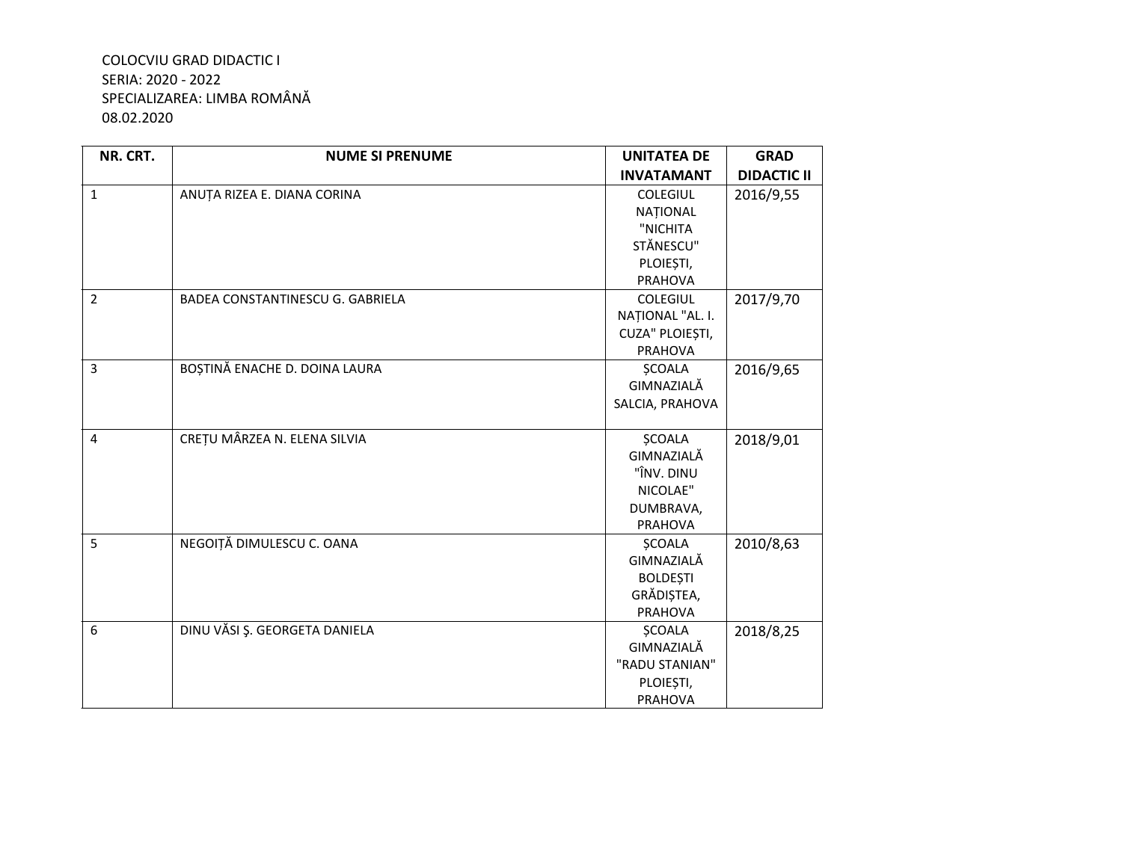## COLOCVIU GRAD DIDACTIC I SERIA: 2020 - 2022 SPECIALIZAREA: LIMBA ROMÂNĂ 08.02.2020

| NR. CRT.       | <b>NUME SI PRENUME</b>                  | <b>UNITATEA DE</b> | <b>GRAD</b>        |
|----------------|-----------------------------------------|--------------------|--------------------|
|                |                                         | <b>INVATAMANT</b>  | <b>DIDACTIC II</b> |
| $\mathbf{1}$   | ANUȚA RIZEA E. DIANA CORINA             | <b>COLEGIUL</b>    | 2016/9,55          |
|                |                                         | NATIONAL           |                    |
|                |                                         | "NICHITA           |                    |
|                |                                         | STĂNESCU"          |                    |
|                |                                         | PLOIEȘTI,          |                    |
|                |                                         | PRAHOVA            |                    |
| $\overline{2}$ | <b>BADEA CONSTANTINESCU G. GABRIELA</b> | <b>COLEGIUL</b>    | 2017/9,70          |
|                |                                         | NAȚIONAL "AL. I.   |                    |
|                |                                         | CUZA" PLOIEȘTI,    |                    |
|                |                                         | PRAHOVA            |                    |
| 3              | BOȘTINĂ ENACHE D. DOINA LAURA           | <b>ŞCOALA</b>      | 2016/9,65          |
|                |                                         | GIMNAZIALĂ         |                    |
|                |                                         | SALCIA, PRAHOVA    |                    |
| 4              | CREȚU MÂRZEA N. ELENA SILVIA            | <b>ŞCOALA</b>      | 2018/9,01          |
|                |                                         | GIMNAZIALĂ         |                    |
|                |                                         | "ÎNV. DINU         |                    |
|                |                                         | NICOLAE"           |                    |
|                |                                         | DUMBRAVA,          |                    |
|                |                                         | PRAHOVA            |                    |
| 5              | NEGOIȚĂ DIMULESCU C. OANA               | <b>ŞCOALA</b>      | 2010/8,63          |
|                |                                         | GIMNAZIALĂ         |                    |
|                |                                         | <b>BOLDEȘTI</b>    |                    |
|                |                                         | GRĂDIȘTEA,         |                    |
|                |                                         | PRAHOVA            |                    |
| 6              | DINU VĂSI Ș. GEORGETA DANIELA           | <b>ŞCOALA</b>      | 2018/8,25          |
|                |                                         | GIMNAZIALĂ         |                    |
|                |                                         | "RADU STANIAN"     |                    |
|                |                                         | PLOIEȘTI,          |                    |
|                |                                         | <b>PRAHOVA</b>     |                    |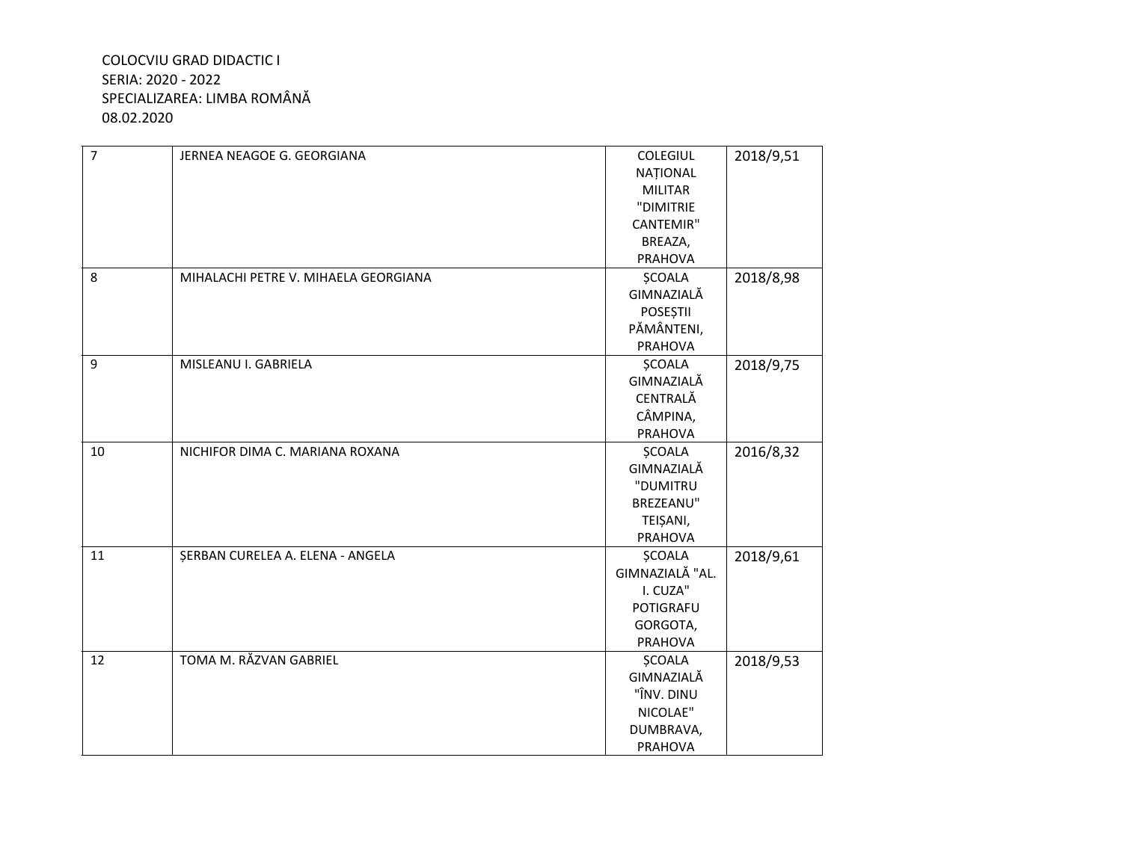## **COLOCVIU GRAD DIDACTIC I** SERIA: 2020 - 2022 SPECIALIZAREA: LIMBA ROMÂNĂ 08.02.2020

| $\overline{7}$ | JERNEA NEAGOE G. GEORGIANA           | COLEGIUL         | 2018/9,51 |
|----------------|--------------------------------------|------------------|-----------|
|                |                                      | <b>NAȚIONAL</b>  |           |
|                |                                      | <b>MILITAR</b>   |           |
|                |                                      | "DIMITRIE        |           |
|                |                                      | <b>CANTEMIR"</b> |           |
|                |                                      | BREAZA,          |           |
|                |                                      | PRAHOVA          |           |
| 8              | MIHALACHI PETRE V. MIHAELA GEORGIANA | <b>ŞCOALA</b>    | 2018/8,98 |
|                |                                      | GIMNAZIALĂ       |           |
|                |                                      | <b>POSEȘTII</b>  |           |
|                |                                      | PĂMÂNTENI,       |           |
|                |                                      | <b>PRAHOVA</b>   |           |
| 9              | MISLEANU I. GABRIELA                 | <b>ȘCOALA</b>    | 2018/9,75 |
|                |                                      | GIMNAZIALĂ       |           |
|                |                                      | CENTRALĂ         |           |
|                |                                      | CÂMPINA,         |           |
|                |                                      | PRAHOVA          |           |
| 10             | NICHIFOR DIMA C. MARIANA ROXANA      | <b>ŞCOALA</b>    | 2016/8,32 |
|                |                                      | GIMNAZIALĂ       |           |
|                |                                      | "DUMITRU         |           |
|                |                                      | BREZEANU"        |           |
|                |                                      | TEIȘANI,         |           |
|                |                                      | PRAHOVA          |           |
| 11             | ȘERBAN CURELEA A. ELENA - ANGELA     | <b>ȘCOALA</b>    | 2018/9,61 |
|                |                                      | GIMNAZIALĂ "AL.  |           |
|                |                                      | I. CUZA"         |           |
|                |                                      | POTIGRAFU        |           |
|                |                                      | GORGOTA,         |           |
|                |                                      | PRAHOVA          |           |
| 12             | TOMA M. RĂZVAN GABRIEL               | <b>ŞCOALA</b>    | 2018/9,53 |
|                |                                      | GIMNAZIALĂ       |           |
|                |                                      | "ÎNV. DINU       |           |
|                |                                      | NICOLAE"         |           |
|                |                                      | DUMBRAVA,        |           |
|                |                                      | PRAHOVA          |           |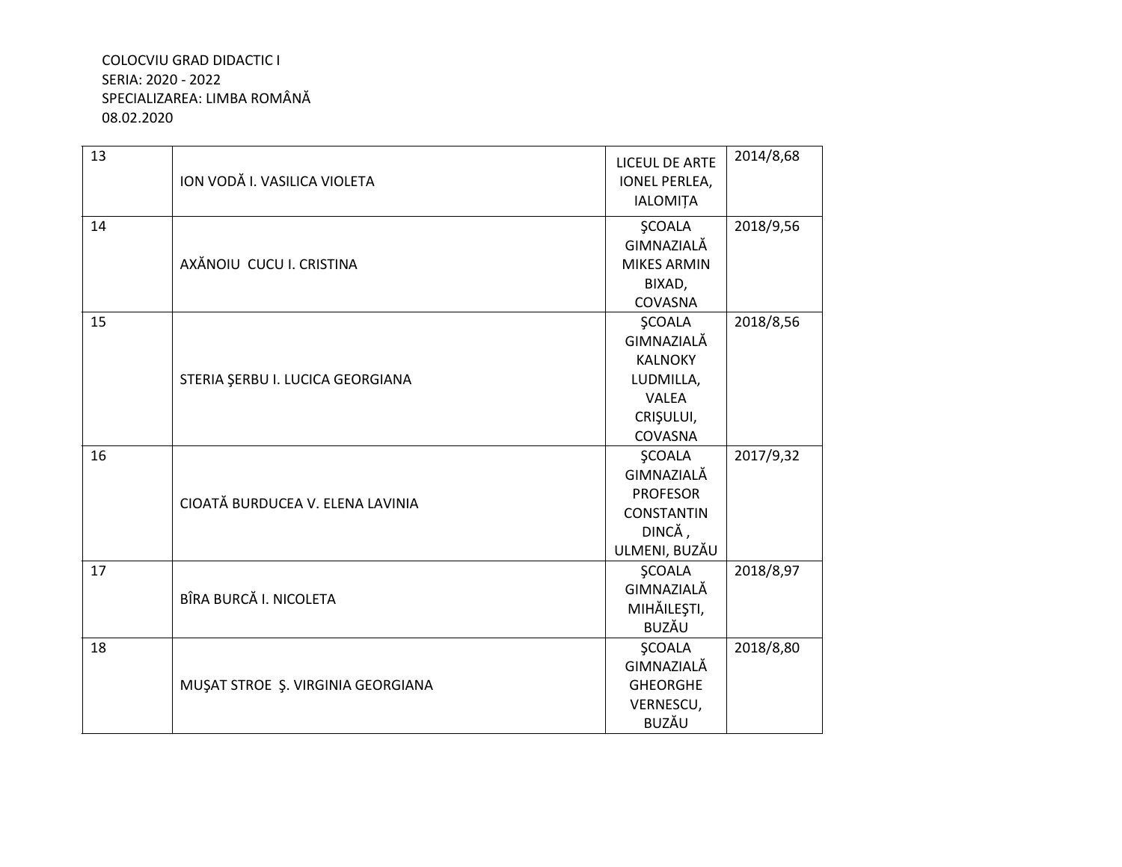## COLOCVIU GRAD DIDACTIC I SERIA: 2020 - 2022 SPECIALIZAREA: LIMBA ROMÂNĂ 08.02.2020

| 13 | ION VODĂ I. VASILICA VIOLETA      | <b>LICEUL DE ARTE</b>                   | 2014/8,68 |
|----|-----------------------------------|-----------------------------------------|-----------|
|    |                                   | <b>IONEL PERLEA,</b><br><b>IALOMITA</b> |           |
|    |                                   |                                         |           |
| 14 | AXĂNOIU CUCU I. CRISTINA          | <b>ŞCOALA</b>                           | 2018/9,56 |
|    |                                   | GIMNAZIALĂ                              |           |
|    |                                   | <b>MIKES ARMIN</b>                      |           |
|    |                                   | BIXAD,                                  |           |
|    |                                   | COVASNA                                 |           |
| 15 |                                   | <b>ŞCOALA</b>                           | 2018/8,56 |
|    |                                   | GIMNAZIALĂ                              |           |
|    |                                   | <b>KALNOKY</b>                          |           |
|    | STERIA ȘERBU I. LUCICA GEORGIANA  | LUDMILLA,                               |           |
|    |                                   | <b>VALEA</b>                            |           |
|    |                                   | CRIȘULUI,                               |           |
|    |                                   | COVASNA                                 |           |
| 16 | CIOATĂ BURDUCEA V. ELENA LAVINIA  | <b>ŞCOALA</b>                           | 2017/9,32 |
|    |                                   | GIMNAZIALĂ                              |           |
|    |                                   | <b>PROFESOR</b>                         |           |
|    |                                   | <b>CONSTANTIN</b>                       |           |
|    |                                   | DINCĂ,                                  |           |
|    |                                   | ULMENI, BUZĂU                           |           |
| 17 | BÎRA BURCĂ I. NICOLETA            | <b>ŞCOALA</b>                           | 2018/8,97 |
|    |                                   | GIMNAZIALĂ                              |           |
|    |                                   | MIHĂILEȘTI,                             |           |
|    |                                   | <b>BUZĂU</b>                            |           |
| 18 |                                   | <b>SCOALA</b>                           | 2018/8,80 |
|    | MUŞAT STROE Ş. VIRGINIA GEORGIANA | GIMNAZIALĂ                              |           |
|    |                                   | <b>GHEORGHE</b>                         |           |
|    |                                   | VERNESCU,                               |           |
|    |                                   |                                         |           |